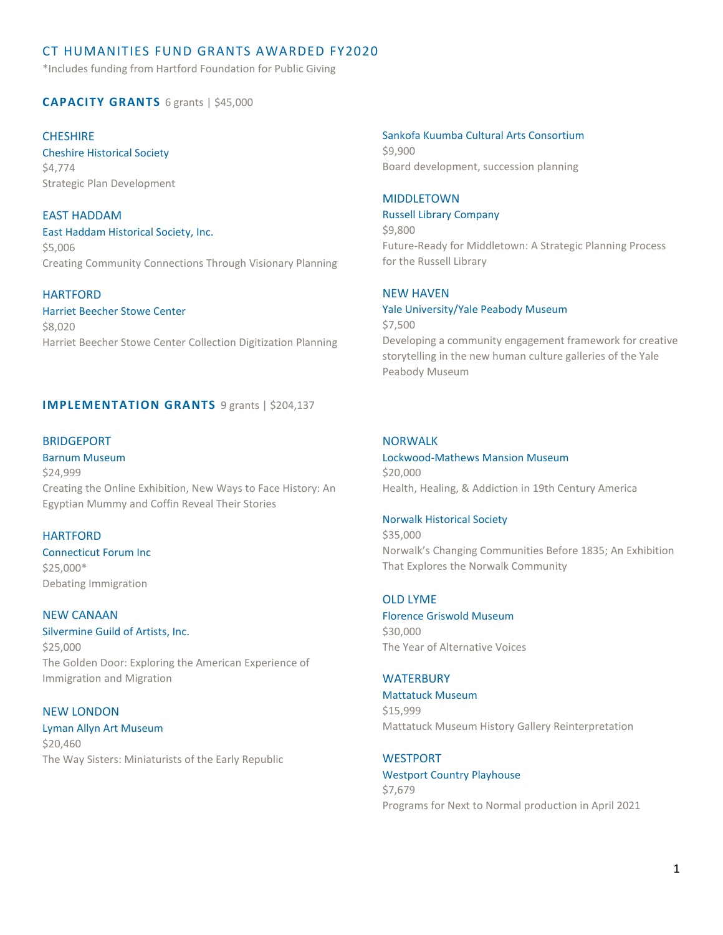# CT HUMANITIES FUND GRANTS AWARDED FY2020

\*Includes funding from Hartford Foundation for Public Giving

# **CAPACITY GRANTS** 6 grants | \$45,000

# **CHESHIRE**

Cheshire Historical Society \$4,774 Strategic Plan Development

# EAST HADDAM

East Haddam Historical Society, Inc. \$5,006 Creating Community Connections Through Visionary Planning

# HARTFORD

Harriet Beecher Stowe Center \$8,020 Harriet Beecher Stowe Center Collection Digitization Planning

# **IMPLEMENTATION GRANTS** 9 grants | \$204,137

# BRIDGEPORT

Barnum Museum \$24,999 Creating the Online Exhibition, New Ways to Face History: An Egyptian Mummy and Coffin Reveal Their Stories

# HARTFORD

# Connecticut Forum Inc

\$25,000\* Debating Immigration

# NEW CANAAN

# Silvermine Guild of Artists, Inc.

\$25,000 The Golden Door: Exploring the American Experience of Immigration and Migration

# NEW LONDON

Lyman Allyn Art Museum \$20,460 The Way Sisters: Miniaturists of the Early Republic

# Sankofa Kuumba Cultural Arts Consortium

\$9,900 Board development, succession planning

# MIDDLETOWN

Russell Library Company

\$9,800 Future-Ready for Middletown: A Strategic Planning Process for the Russell Library

# NEW HAVEN

# Yale University/Yale Peabody Museum

\$7,500 Developing a community engagement framework for creative storytelling in the new human culture galleries of the Yale Peabody Museum

# NORWALK

# Lockwood-Mathews Mansion Museum \$20,000 Health, Healing, & Addiction in 19th Century America

# Norwalk Historical Society

\$35,000 Norwalk's Changing Communities Before 1835; An Exhibition That Explores the Norwalk Community

# OLD LYME

Florence Griswold Museum \$30,000 The Year of Alternative Voices

# **WATERBURY**

Mattatuck Museum \$15,999 Mattatuck Museum History Gallery Reinterpretation

# **WESTPORT**

# Westport Country Playhouse \$7,679 Programs for Next to Normal production in April 2021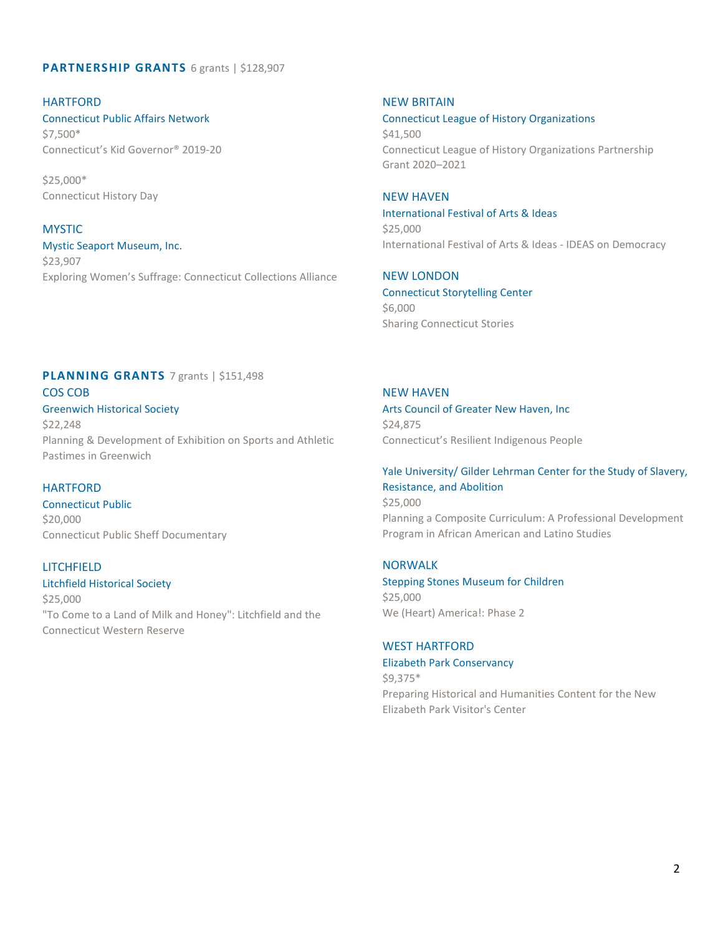# **PARTNERSHIP GRANTS** 6 grants | \$128,907

HARTFORD Connecticut Public Affairs Network \$7,500\* Connecticut's Kid Governor® 2019-20

\$25,000\* Connecticut History Day

### **MYSTIC**

Mystic Seaport Museum, Inc. \$23,907 Exploring Women's Suffrage: Connecticut Collections Alliance NEW BRITAIN

Connecticut League of History Organizations \$41,500 Connecticut League of History Organizations Partnership Grant 2020–2021

#### NEW HAVEN

International Festival of Arts & Ideas \$25,000 International Festival of Arts & Ideas - IDEAS on Democracy

# NEW LONDON

Connecticut Storytelling Center \$6,000 Sharing Connecticut Stories

# **PLANNING GRANTS** 7 grants | \$151,498 COS COB

# Greenwich Historical Society

\$22,248 Planning & Development of Exhibition on Sports and Athletic Pastimes in Greenwich

# **HARTFORD**

Connecticut Public \$20,000 Connecticut Public Sheff Documentary

#### LITCHFIELD

Litchfield Historical Society \$25,000 "To Come to a Land of Milk and Honey": Litchfield and the Connecticut Western Reserve

# NEW HAVEN

Arts Council of Greater New Haven, Inc \$24,875 Connecticut's Resilient Indigenous People

## Yale University/ Gilder Lehrman Center for the Study of Slavery, Resistance, and Abolition \$25,000

Planning a Composite Curriculum: A Professional Development Program in African American and Latino Studies

# NORWALK

Stepping Stones Museum for Children \$25,000 We (Heart) America!: Phase 2

#### WEST HARTFORD

Elizabeth Park Conservancy \$9,375\* Preparing Historical and Humanities Content for the New Elizabeth Park Visitor's Center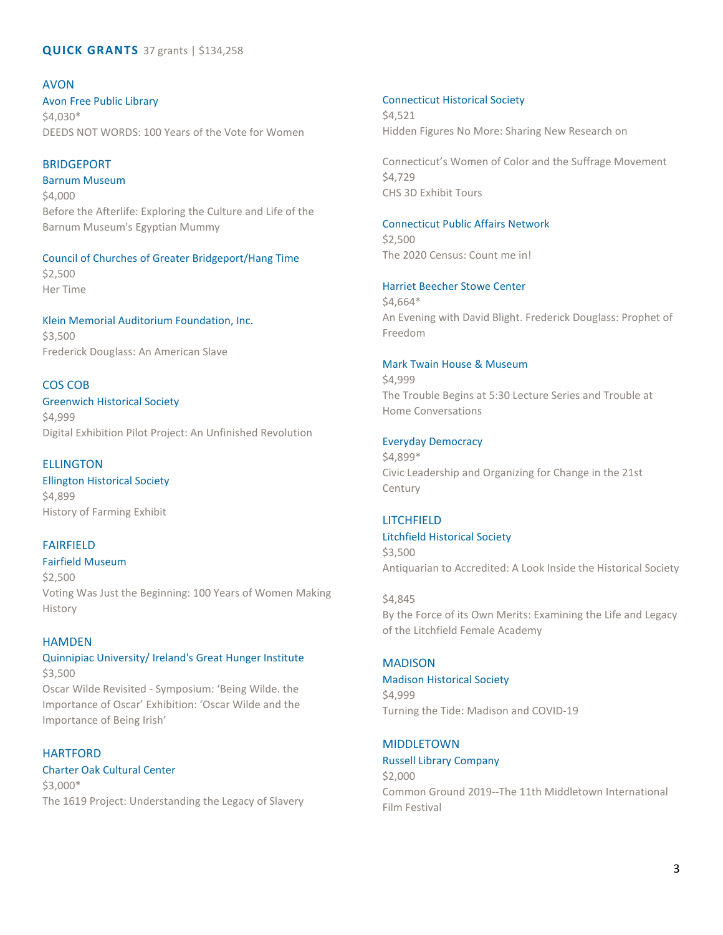# **QUICK GRANTS** 37 grants | \$134,258

AVON Avon Free Public Library \$4,030\* DEEDS NOT WORDS: 100 Years of the Vote for Women

# BRIDGEPORT

### Barnum Museum

\$4,000 Before the Afterlife: Exploring the Culture and Life of the Barnum Museum's Egyptian Mummy

#### Council of Churches of Greater Bridgeport/Hang Time

\$2,500 Her Time

# Klein Memorial Auditorium Foundation, Inc.

\$3,500 Frederick Douglass: An American Slave

# COS COB

Greenwich Historical Society \$4,999 Digital Exhibition Pilot Project: An Unfinished Revolution

### ELLINGTON

Ellington Historical Society \$4,899 History of Farming Exhibit

### FAIRFIELD

Fairfield Museum \$2,500 Voting Was Just the Beginning: 100 Years of Women Making History

#### **HAMDEN**

### Quinnipiac University/ Ireland's Great Hunger Institute \$3,500

Oscar Wilde Revisited - Symposium: 'Being Wilde. the Importance of Oscar' Exhibition: 'Oscar Wilde and the Importance of Being Irish'

**HARTFORD** Charter Oak Cultural Center \$3,000\* The 1619 Project: Understanding the Legacy of Slavery

#### Connecticut Historical Society

\$4,521 Hidden Figures No More: Sharing New Research on

Connecticut's Women of Color and the Suffrage Movement \$4,729 CHS 3D Exhibit Tours

#### Connecticut Public Affairs Network \$2,500

The 2020 Census: Count me in!

### Harriet Beecher Stowe Center

\$4,664\* An Evening with David Blight. Frederick Douglass: Prophet of Freedom

# Mark Twain House & Museum

\$4,999 The Trouble Begins at 5:30 Lecture Series and Trouble at Home Conversations

### Everyday Democracy

\$4,899\* Civic Leadership and Organizing for Change in the 21st Century

# LITCHFIELD

#### Litchfield Historical Society

\$3,500 Antiquarian to Accredited: A Look Inside the Historical Society

\$4,845 By the Force of its Own Merits: Examining the Life and Legacy of the Litchfield Female Academy

# MADISON

# Madison Historical Society

\$4,999 Turning the Tide: Madison and COVID-19

# MIDDLETOWN

#### Russell Library Company

\$2,000 Common Ground 2019--The 11th Middletown International Film Festival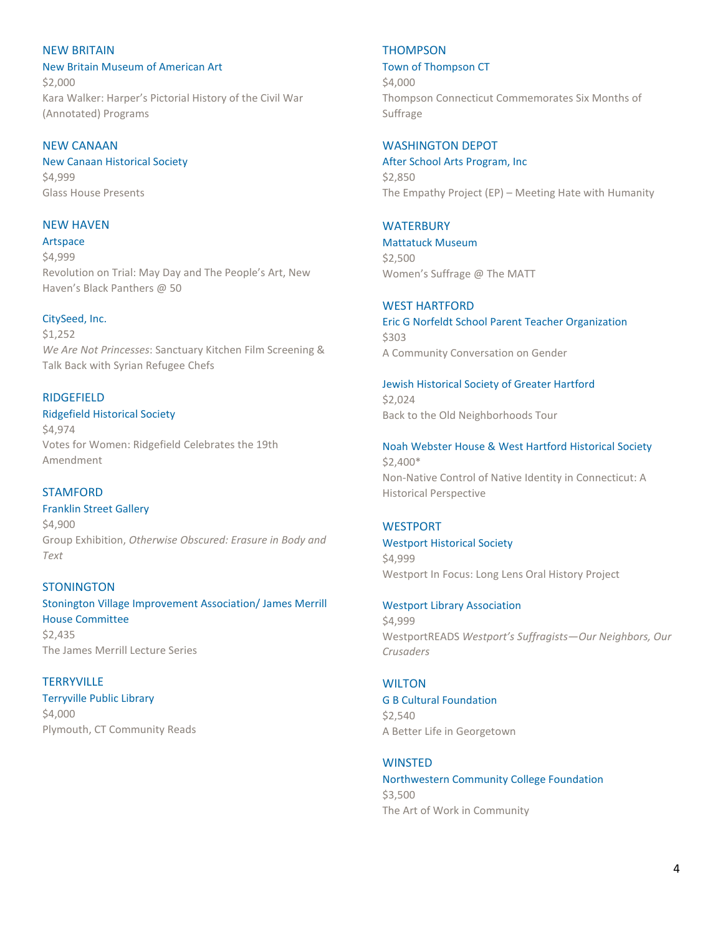# NEW BRITAIN

New Britain Museum of American Art \$2,000 Kara Walker: Harper's Pictorial History of the Civil War (Annotated) Programs

### NEW CANAAN

New Canaan Historical Society \$4,999 Glass House Presents

# NEW HAVEN

Artspace \$4,999 Revolution on Trial: May Day and The People's Art, New Haven's Black Panthers @ 50

#### CitySeed, Inc.

\$1,252 *We Are Not Princesses*: Sanctuary Kitchen Film Screening & Talk Back with Syrian Refugee Chefs

### RIDGEFIELD

# Ridgefield Historical Society

\$4,974 Votes for Women: Ridgefield Celebrates the 19th Amendment

### **STAMFORD**

Franklin Street Gallery \$4,900 Group Exhibition, *Otherwise Obscured: Erasure in Body and Text*

**STONINGTON** Stonington Village Improvement Association/ James Merrill House Committee \$2,435 The James Merrill Lecture Series

# **TERRYVILLE**

Terryville Public Library \$4,000 Plymouth, CT Community Reads

# **THOMPSON**

#### Town of Thompson CT

\$4,000 Thompson Connecticut Commemorates Six Months of Suffrage

## WASHINGTON DEPOT

After School Arts Program, Inc \$2,850 The Empathy Project (EP) – Meeting Hate with Humanity

#### **WATERBURY**

Mattatuck Museum \$2,500 Women's Suffrage @ The MATT

### WEST HARTFORD

Eric G Norfeldt School Parent Teacher Organization \$303 A Community Conversation on Gender

### Jewish Historical Society of Greater Hartford

\$2,024 Back to the Old Neighborhoods Tour

Noah Webster House & West Hartford Historical Society \$2,400\* Non-Native Control of Native Identity in Connecticut: A

#### **WESTPORT**

Historical Perspective

Westport Historical Society \$4,999 Westport In Focus: Long Lens Oral History Project

### Westport Library Association

\$4,999 WestportREADS *Westport's Suffragists—Our Neighbors, Our Crusaders*

#### WILTON

G B Cultural Foundation \$2,540 A Better Life in Georgetown

### **WINSTED**

Northwestern Community College Foundation \$3,500 The Art of Work in Community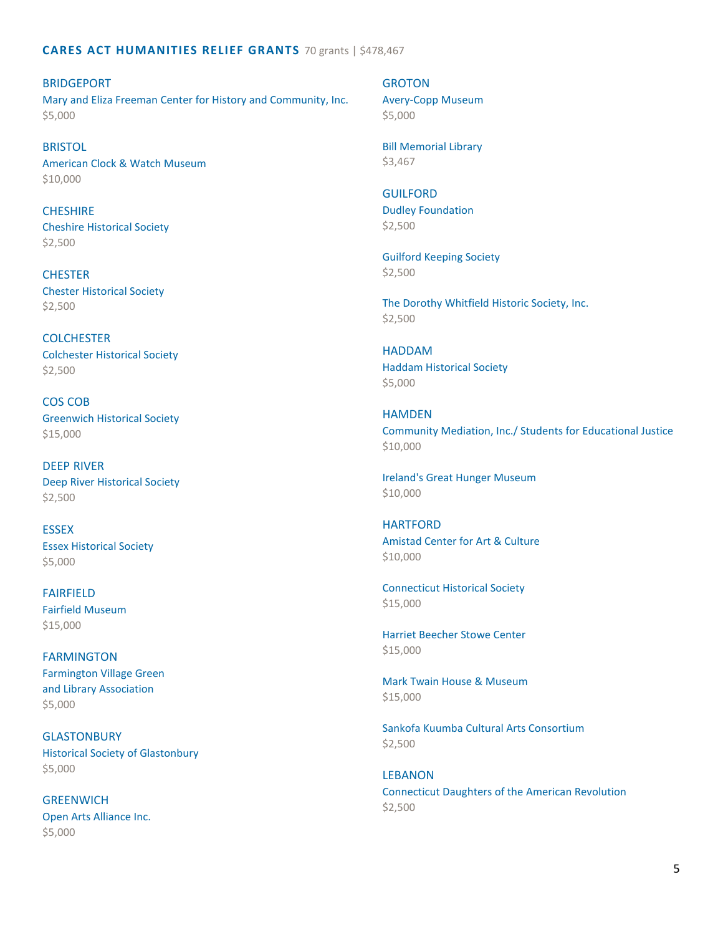# **CARES ACT HUMANITIES RELIEF GRANTS** 70 grants | \$478,467

BRIDGEPORT Mary and Eliza Freeman Center for History and Community, Inc. \$5,000

**BRISTOL** American Clock & Watch Museum \$10,000

**CHESHIRE** Cheshire Historical Society \$2,500

**CHESTER** Chester Historical Society \$2,500

**COLCHESTER** Colchester Historical Society \$2,500

COS COB Greenwich Historical Society \$15,000

DEEP RIVER Deep River Historical Society \$2,500

**ESSEX** Essex Historical Society \$5,000

FAIRFIELD Fairfield Museum \$15,000

FARMINGTON Farmington Village Green and Library Association \$5,000

**GLASTONBURY** Historical Society of Glastonbury \$5,000

**GREENWICH** Open Arts Alliance Inc. \$5,000

**GROTON** Avery-Copp Museum \$5,000

Bill Memorial Library \$3,467

**GUILFORD** Dudley Foundation \$2,500

Guilford Keeping Society \$2,500

The Dorothy Whitfield Historic Society, Inc. \$2,500

HADDAM Haddam Historical Society \$5,000

**HAMDEN** Community Mediation, Inc./ Students for Educational Justice \$10,000

Ireland's Great Hunger Museum \$10,000

**HARTFORD** Amistad Center for Art & Culture \$10,000

Connecticut Historical Society \$15,000

Harriet Beecher Stowe Center \$15,000

Mark Twain House & Museum \$15,000

Sankofa Kuumba Cultural Arts Consortium \$2,500

LEBANON Connecticut Daughters of the American Revolution \$2,500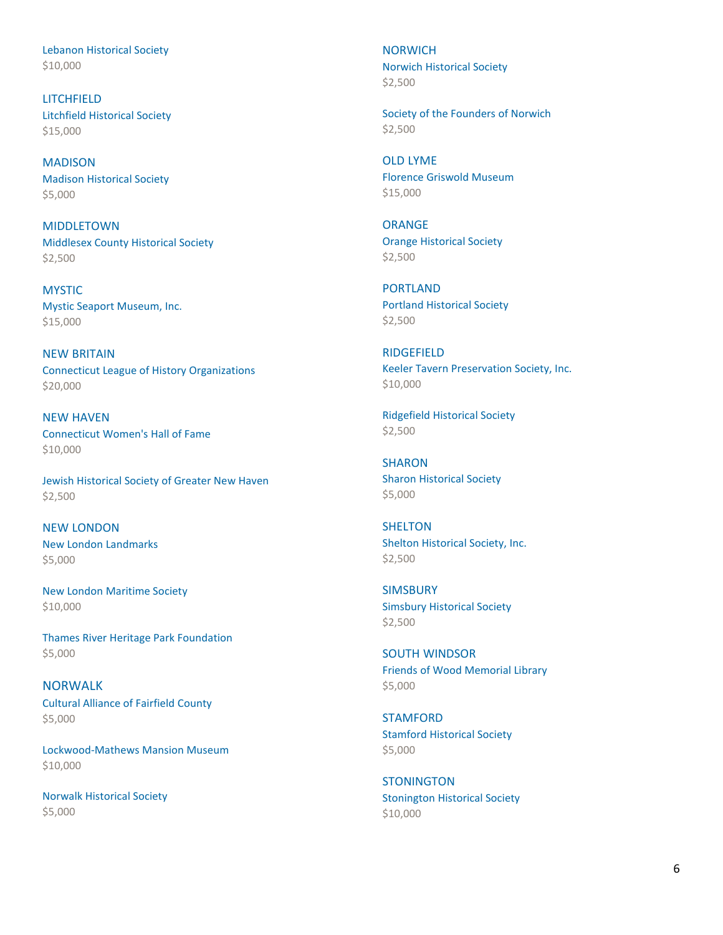Lebanon Historical Society \$10,000

**LITCHFIELD** Litchfield Historical Society \$15,000

MADISON Madison Historical Society \$5,000

MIDDLETOWN Middlesex County Historical Society \$2,500

**MYSTIC** Mystic Seaport Museum, Inc. \$15,000

NEW BRITAIN Connecticut League of History Organizations \$20,000

NEW HAVEN Connecticut Women's Hall of Fame \$10,000

Jewish Historical Society of Greater New Haven \$2,500

NEW LONDON New London Landmarks \$5,000

New London Maritime Society \$10,000

Thames River Heritage Park Foundation \$5,000

NORWALK Cultural Alliance of Fairfield County \$5,000

Lockwood-Mathews Mansion Museum \$10,000

Norwalk Historical Society \$5,000

**NORWICH** Norwich Historical Society \$2,500

Society of the Founders of Norwich \$2,500

OLD LYME Florence Griswold Museum \$15,000

ORANGE Orange Historical Society \$2,500

PORTLAND Portland Historical Society \$2,500

RIDGEFIELD Keeler Tavern Preservation Society, Inc. \$10,000

Ridgefield Historical Society \$2,500

SHARON Sharon Historical Society \$5,000

**SHELTON** Shelton Historical Society, Inc. \$2,500

**SIMSBURY** Simsbury Historical Society \$2,500

SOUTH WINDSOR Friends of Wood Memorial Library \$5,000

**STAMFORD** Stamford Historical Society \$5,000

**STONINGTON** Stonington Historical Society \$10,000